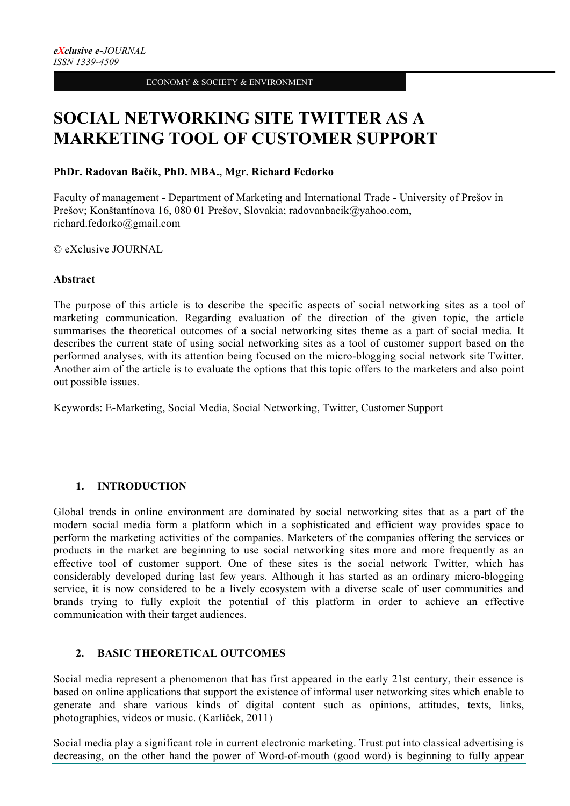# **SOCIAL NETWORKING SITE TWITTER AS A MARKETING TOOL OF CUSTOMER SUPPORT**

# **PhDr. Radovan Bačík, PhD. MBA., Mgr. Richard Fedorko**

Faculty of management - Department of Marketing and International Trade - University of Prešov in Prešov; Konštantínova 16, 080 01 Prešov, Slovakia; radovanbacik@yahoo.com, richard.fedorko@gmail.com

© eXclusive JOURNAL

## **Abstract**

The purpose of this article is to describe the specific aspects of social networking sites as a tool of marketing communication. Regarding evaluation of the direction of the given topic, the article summarises the theoretical outcomes of a social networking sites theme as a part of social media. It describes the current state of using social networking sites as a tool of customer support based on the performed analyses, with its attention being focused on the micro-blogging social network site Twitter. Another aim of the article is to evaluate the options that this topic offers to the marketers and also point out possible issues.

Keywords: E-Marketing, Social Media, Social Networking, Twitter, Customer Support

# **1. INTRODUCTION**

Global trends in online environment are dominated by social networking sites that as a part of the modern social media form a platform which in a sophisticated and efficient way provides space to perform the marketing activities of the companies. Marketers of the companies offering the services or products in the market are beginning to use social networking sites more and more frequently as an effective tool of customer support. One of these sites is the social network Twitter, which has considerably developed during last few years. Although it has started as an ordinary micro-blogging service, it is now considered to be a lively ecosystem with a diverse scale of user communities and brands trying to fully exploit the potential of this platform in order to achieve an effective communication with their target audiences.

# **2. BASIC THEORETICAL OUTCOMES**

Social media represent a phenomenon that has first appeared in the early 21st century, their essence is based on online applications that support the existence of informal user networking sites which enable to generate and share various kinds of digital content such as opinions, attitudes, texts, links, photographies, videos or music. (Karlíček, 2011)

Social media play a significant role in current electronic marketing. Trust put into classical advertising is decreasing, on the other hand the power of Word-of-mouth (good word) is beginning to fully appear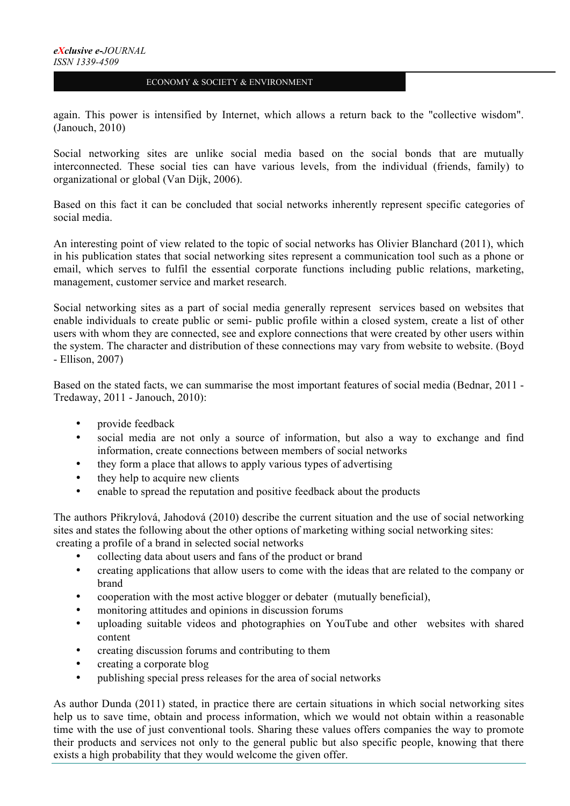again. This power is intensified by Internet, which allows a return back to the "collective wisdom". (Janouch, 2010)

Social networking sites are unlike social media based on the social bonds that are mutually interconnected. These social ties can have various levels, from the individual (friends, family) to organizational or global (Van Dijk, 2006).

Based on this fact it can be concluded that social networks inherently represent specific categories of social media.

An interesting point of view related to the topic of social networks has Olivier Blanchard (2011), which in his publication states that social networking sites represent a communication tool such as a phone or email, which serves to fulfil the essential corporate functions including public relations, marketing, management, customer service and market research.

Social networking sites as a part of social media generally represent services based on websites that enable individuals to create public or semi- public profile within a closed system, create a list of other users with whom they are connected, see and explore connections that were created by other users within the system. The character and distribution of these connections may vary from website to website. (Boyd - Ellison, 2007)

Based on the stated facts, we can summarise the most important features of social media (Bednar, 2011 - Tredaway, 2011 - Janouch, 2010):

- provide feedback
- social media are not only a source of information, but also a way to exchange and find information, create connections between members of social networks
- they form a place that allows to apply various types of advertising
- they help to acquire new clients
- enable to spread the reputation and positive feedback about the products

The authors Přikrylová, Jahodová (2010) describe the current situation and the use of social networking sites and states the following about the other options of marketing withing social networking sites: creating a profile of a brand in selected social networks

- collecting data about users and fans of the product or brand
- creating applications that allow users to come with the ideas that are related to the company or brand
- cooperation with the most active blogger or debater (mutually beneficial),
- monitoring attitudes and opinions in discussion forums
- uploading suitable videos and photographies on YouTube and other websites with shared content
- creating discussion forums and contributing to them
- creating a corporate blog
- publishing special press releases for the area of social networks

As author Dunda (2011) stated, in practice there are certain situations in which social networking sites help us to save time, obtain and process information, which we would not obtain within a reasonable time with the use of just conventional tools. Sharing these values offers companies the way to promote their products and services not only to the general public but also specific people, knowing that there exists a high probability that they would welcome the given offer.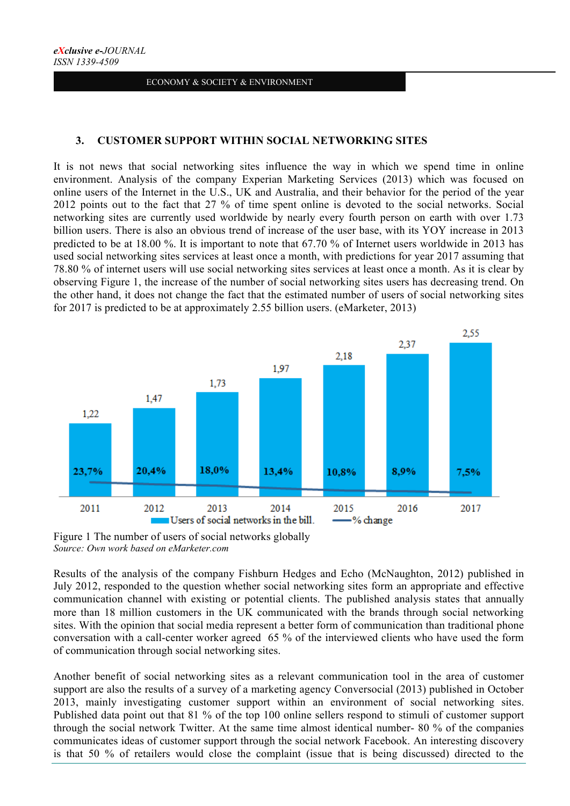## **3. CUSTOMER SUPPORT WITHIN SOCIAL NETWORKING SITES**

It is not news that social networking sites influence the way in which we spend time in online environment. Analysis of the company Experian Marketing Services (2013) which was focused on online users of the Internet in the U.S., UK and Australia, and their behavior for the period of the year 2012 points out to the fact that 27 % of time spent online is devoted to the social networks. Social networking sites are currently used worldwide by nearly every fourth person on earth with over 1.73 billion users. There is also an obvious trend of increase of the user base, with its YOY increase in 2013 predicted to be at 18.00 %. It is important to note that 67.70 % of Internet users worldwide in 2013 has used social networking sites services at least once a month, with predictions for year 2017 assuming that 78.80 % of internet users will use social networking sites services at least once a month. As it is clear by observing Figure 1, the increase of the number of social networking sites users has decreasing trend. On the other hand, it does not change the fact that the estimated number of users of social networking sites for 2017 is predicted to be at approximately 2.55 billion users. (eMarketer, 2013)



Figure 1 The number of users of social networks globally *Source: Own work based on eMarketer.com*

Results of the analysis of the company Fishburn Hedges and Echo (McNaughton, 2012) published in July 2012, responded to the question whether social networking sites form an appropriate and effective communication channel with existing or potential clients. The published analysis states that annually more than 18 million customers in the UK communicated with the brands through social networking sites. With the opinion that social media represent a better form of communication than traditional phone conversation with a call-center worker agreed 65 % of the interviewed clients who have used the form of communication through social networking sites.

Another benefit of social networking sites as a relevant communication tool in the area of customer support are also the results of a survey of a marketing agency Conversocial (2013) published in October 2013, mainly investigating customer support within an environment of social networking sites. Published data point out that 81 % of the top 100 online sellers respond to stimuli of customer support through the social network Twitter. At the same time almost identical number- 80 % of the companies communicates ideas of customer support through the social network Facebook. An interesting discovery is that 50 % of retailers would close the complaint (issue that is being discussed) directed to the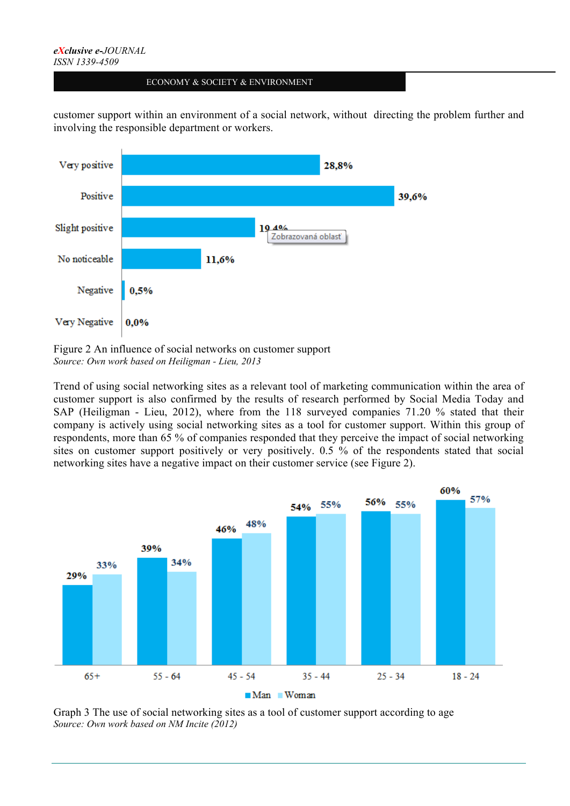#### *eXclusive e-JOURNAL ISSN 1339-4509*

#### ECONOMY & SOCIETY & ENVIRONMENT

customer support within an environment of a social network, without directing the problem further and involving the responsible department or workers.



Figure 2 An influence of social networks on customer support *Source: Own work based on Heiligman - Lieu, 2013*

Trend of using social networking sites as a relevant tool of marketing communication within the area of customer support is also confirmed by the results of research performed by Social Media Today and SAP (Heiligman - Lieu, 2012), where from the 118 surveyed companies 71.20 % stated that their company is actively using social networking sites as a tool for customer support. Within this group of respondents, more than 65 % of companies responded that they perceive the impact of social networking sites on customer support positively or very positively. 0.5 % of the respondents stated that social networking sites have a negative impact on their customer service (see Figure 2).



Graph 3 The use of social networking sites as a tool of customer support according to age *Source: Own work based on NM Incite (2012)*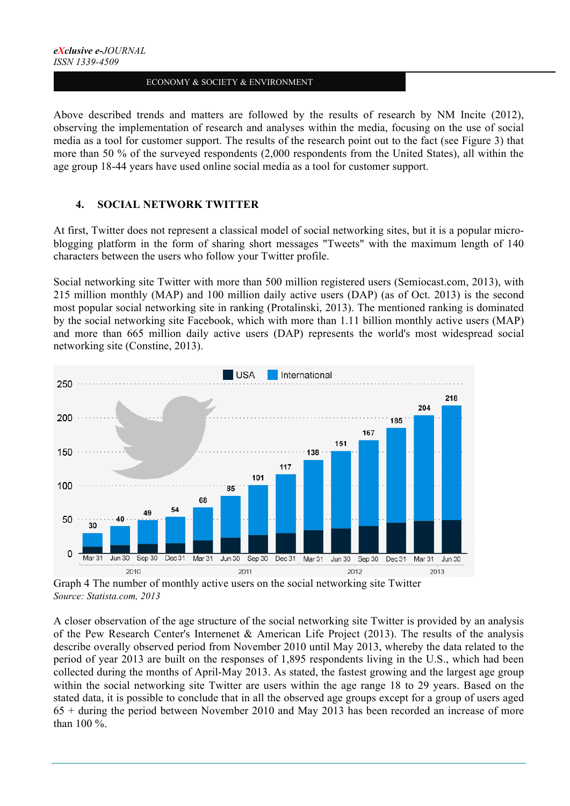Above described trends and matters are followed by the results of research by NM Incite (2012), observing the implementation of research and analyses within the media, focusing on the use of social media as a tool for customer support. The results of the research point out to the fact (see Figure 3) that more than 50 % of the surveyed respondents (2,000 respondents from the United States), all within the age group 18-44 years have used online social media as a tool for customer support.

# **4. SOCIAL NETWORK TWITTER**

At first, Twitter does not represent a classical model of social networking sites, but it is a popular microblogging platform in the form of sharing short messages "Tweets" with the maximum length of 140 characters between the users who follow your Twitter profile.

Social networking site Twitter with more than 500 million registered users (Semiocast.com, 2013), with 215 million monthly (MAP) and 100 million daily active users (DAP) (as of Oct. 2013) is the second most popular social networking site in ranking (Protalinski, 2013). The mentioned ranking is dominated by the social networking site Facebook, which with more than 1.11 billion monthly active users (MAP) and more than 665 million daily active users (DAP) represents the world's most widespread social networking site (Constine, 2013).



Graph 4 The number of monthly active users on the social networking site Twitter *Source: Statista.com, 2013*

A closer observation of the age structure of the social networking site Twitter is provided by an analysis of the Pew Research Center's Internenet & American Life Project (2013). The results of the analysis describe overally observed period from November 2010 until May 2013, whereby the data related to the period of year 2013 are built on the responses of 1,895 respondents living in the U.S., which had been collected during the months of April-May 2013. As stated, the fastest growing and the largest age group within the social networking site Twitter are users within the age range 18 to 29 years. Based on the stated data, it is possible to conclude that in all the observed age groups except for a group of users aged 65 + during the period between November 2010 and May 2013 has been recorded an increase of more than 100 %.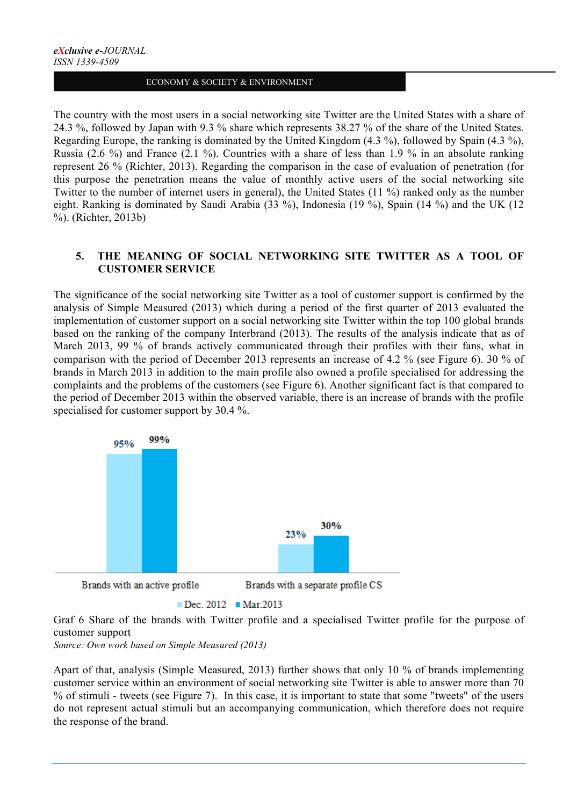The country with the most users in a social networking site Twitter are the United States with a share of 24.3 %, followed by Japan with 9.3 % share which represents 38.27 % of the share of the United States. Regarding Europe, the ranking is dominated by the United Kingdom (4.3 %), followed by Spain (4.3 %), Russia (2.6 %) and France (2.1 %). Countries with a share of less than 1.9 % in an absolute ranking represent 26 % (Richter, 2013). Regarding the comparison in the case of evaluation of penetration (for this purpose the penetration means the value of monthly active users of the social networking site Twitter to the number of internet users in general), the United States (11 %) ranked only as the number eight. Ranking is dominated by Saudi Arabia (33 %), Indonesia (19 %), Spain (14 %) and the UK (12 %). (Richter, 2013b)

# **5. THE MEANING OF SOCIAL NETWORKING SITE TWITTER AS A TOOL OF CUSTOMER SERVICE**

The significance of the social networking site Twitter as a tool of customer support is confirmed by the analysis of Simple Measured (2013) which during a period of the first quarter of 2013 evaluated the implementation of customer support on a social networking site Twitter within the top 100 global brands based on the ranking of the company Interbrand (2013). The results of the analysis indicate that as of March 2013, 99 % of brands actively communicated through their profiles with their fans, what in comparison with the period of December 2013 represents an increase of 4.2 % (see Figure 6). 30 % of brands in March 2013 in addition to the main profile also owned a profile specialised for addressing the complaints and the problems of the customers (see Figure 6). Another significant fact is that compared to the period of December 2013 within the observed variable, there is an increase of brands with the profile specialised for customer support by 30.4 %.



```
\blacksquare Dec. 2012 \blacksquare Mar. 2013
```
Graf 6 Share of the brands with Twitter profile and a specialised Twitter profile for the purpose of customer support

*Source: Own work based on Simple Measured (2013)*

Apart of that, analysis (Simple Measured, 2013) further shows that only 10 % of brands implementing customer service within an environment of social networking site Twitter is able to answer more than 70 % of stimuli - tweets (see Figure 7). In this case, it is important to state that some "tweets" of the users do not represent actual stimuli but an accompanying communication, which therefore does not require the response of the brand.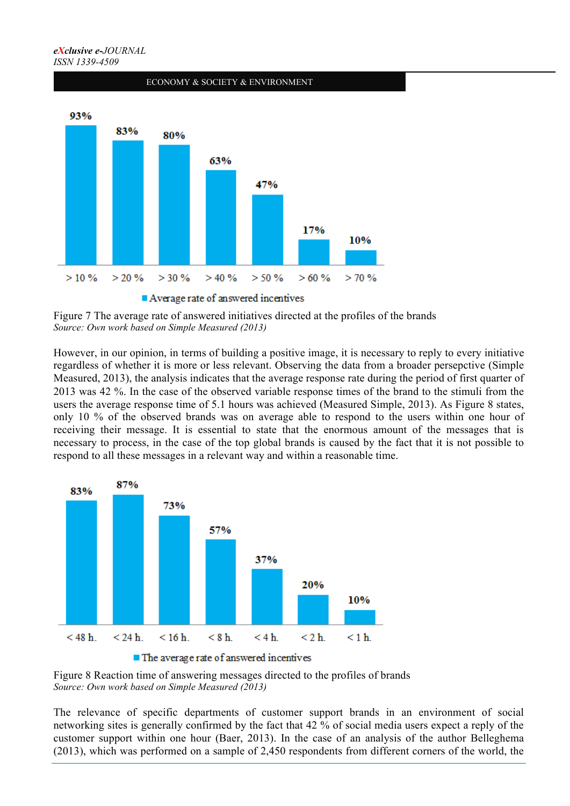

Figure 7 The average rate of answered initiatives directed at the profiles of the brands *Source: Own work based on Simple Measured (2013)*

However, in our opinion, in terms of building a positive image, it is necessary to reply to every initiative regardless of whether it is more or less relevant. Observing the data from a broader persepctive (Simple Measured, 2013), the analysis indicates that the average response rate during the period of first quarter of 2013 was 42 %. In the case of the observed variable response times of the brand to the stimuli from the users the average response time of 5.1 hours was achieved (Measured Simple, 2013). As Figure 8 states, only 10 % of the observed brands was on average able to respond to the users within one hour of receiving their message. It is essential to state that the enormous amount of the messages that is necessary to process, in the case of the top global brands is caused by the fact that it is not possible to respond to all these messages in a relevant way and within a reasonable time.



Figure 8 Reaction time of answering messages directed to the profiles of brands *Source: Own work based on Simple Measured (2013)*

The relevance of specific departments of customer support brands in an environment of social networking sites is generally confirmed by the fact that 42 % of social media users expect a reply of the customer support within one hour (Baer, 2013). In the case of an analysis of the author Belleghema (2013), which was performed on a sample of 2,450 respondents from different corners of the world, the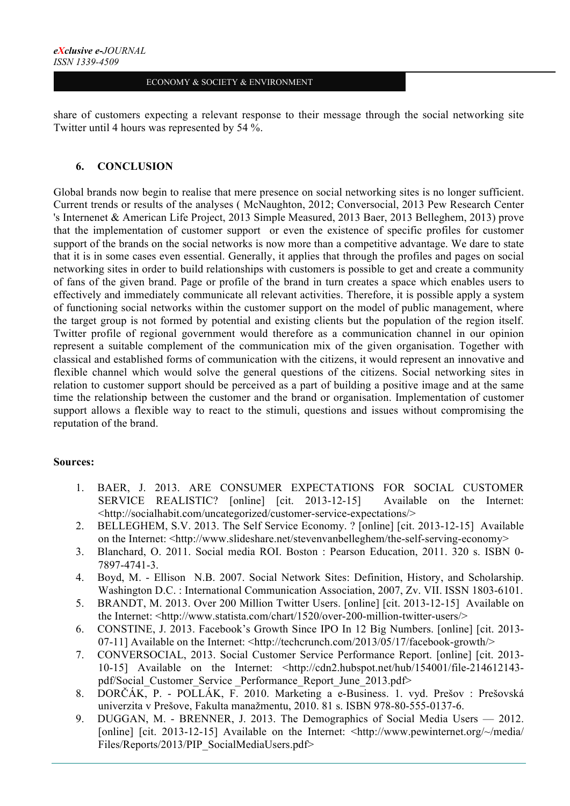share of customers expecting a relevant response to their message through the social networking site Twitter until 4 hours was represented by 54 %.

# **6. CONCLUSION**

Global brands now begin to realise that mere presence on social networking sites is no longer sufficient. Current trends or results of the analyses ( McNaughton, 2012; Conversocial, 2013 Pew Research Center 's Internenet & American Life Project, 2013 Simple Measured, 2013 Baer, 2013 Belleghem, 2013) prove that the implementation of customer support or even the existence of specific profiles for customer support of the brands on the social networks is now more than a competitive advantage. We dare to state that it is in some cases even essential. Generally, it applies that through the profiles and pages on social networking sites in order to build relationships with customers is possible to get and create a community of fans of the given brand. Page or profile of the brand in turn creates a space which enables users to effectively and immediately communicate all relevant activities. Therefore, it is possible apply a system of functioning social networks within the customer support on the model of public management, where the target group is not formed by potential and existing clients but the population of the region itself. Twitter profile of regional government would therefore as a communication channel in our opinion represent a suitable complement of the communication mix of the given organisation. Together with classical and established forms of communication with the citizens, it would represent an innovative and flexible channel which would solve the general questions of the citizens. Social networking sites in relation to customer support should be perceived as a part of building a positive image and at the same time the relationship between the customer and the brand or organisation. Implementation of customer support allows a flexible way to react to the stimuli, questions and issues without compromising the reputation of the brand.

## **Sources:**

- 1. BAER, J. 2013. ARE CONSUMER EXPECTATIONS FOR SOCIAL CUSTOMER SERVICE REALISTIC? [online] [cit. 2013-12-15] Available on the Internet: <http://socialhabit.com/uncategorized/customer-service-expectations/>
- 2. BELLEGHEM, S.V. 2013. The Self Service Economy. ? [online] [cit. 2013-12-15] Available on the Internet: <http://www.slideshare.net/stevenvanbelleghem/the-self-serving-economy>
- 3. Blanchard, O. 2011. Social media ROI. Boston : Pearson Education, 2011. 320 s. ISBN 0- 7897-4741-3.
- 4. Boyd, M. Ellison N.B. 2007. Social Network Sites: Definition, History, and Scholarship. Washington D.C. : International Communication Association, 2007, Zv. VII. ISSN 1803-6101.
- 5. BRANDT, M. 2013. Over 200 Million Twitter Users. [online] [cit. 2013-12-15] Available on the Internet: <http://www.statista.com/chart/1520/over-200-million-twitter-users/>
- 6. CONSTINE, J. 2013. Facebook's Growth Since IPO In 12 Big Numbers. [online] [cit. 2013- 07-11] Available on the Internet: <http://techcrunch.com/2013/05/17/facebook-growth/>
- 7. CONVERSOCIAL, 2013. Social Customer Service Performance Report. [online] [cit. 2013- 10-15] Available on the Internet: <http://cdn2.hubspot.net/hub/154001/file-214612143 pdf/Social Customer Service Performance Report June 2013.pdf>
- 8. DORČÁK, P. POLLÁK, F. 2010. Marketing a e-Business. 1. vyd. Prešov : Prešovská univerzita v Prešove, Fakulta manažmentu, 2010. 81 s. ISBN 978-80-555-0137-6.
- 9. DUGGAN, M. BRENNER, J. 2013. The Demographics of Social Media Users 2012. [online] [cit. 2013-12-15] Available on the Internet: <http://www.pewinternet.org/~/media/ Files/Reports/2013/PIP\_SocialMediaUsers.pdf>